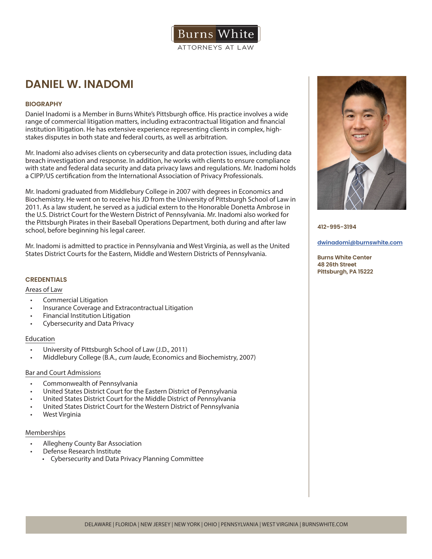

# **DANIEL W. INADOMI**

# **BIOGRAPHY**

Daniel Inadomi is a Member in Burns White's Pittsburgh office. His practice involves a wide range of commercial litigation matters, including extracontractual litigation and financial institution litigation. He has extensive experience representing clients in complex, highstakes disputes in both state and federal courts, as well as arbitration.

Mr. Inadomi also advises clients on cybersecurity and data protection issues, including data breach investigation and response. In addition, he works with clients to ensure compliance with state and federal data security and data privacy laws and regulations. Mr. Inadomi holds a CIPP/US certification from the International Association of Privacy Professionals.

Mr. Inadomi graduated from Middlebury College in 2007 with degrees in Economics and Biochemistry. He went on to receive his JD from the University of Pittsburgh School of Law in 2011. As a law student, he served as a judicial extern to the Honorable Donetta Ambrose in the U.S. District Court for the Western District of Pennsylvania. Mr. Inadomi also worked for the Pittsburgh Pirates in their Baseball Operations Department, both during and after law school, before beginning his legal career.

Mr. Inadomi is admitted to practice in Pennsylvania and West Virginia, as well as the United States District Courts for the Eastern, Middle and Western Districts of Pennsylvania.

# **CREDENTIALS**

## Areas of Law

- Commercial Litigation
- Insurance Coverage and Extracontractual Litigation
- Financial Institution Litigation
- Cybersecurity and Data Privacy

## Education

- University of Pittsburgh School of Law (J.D., 2011)
- Middlebury College (B.A., cum laude, Economics and Biochemistry, 2007)

# Bar and Court Admissions

- Commonwealth of Pennsylvania
- United States District Court for the Eastern District of Pennsylvania
- United States District Court for the Middle District of Pennsylvania
- United States District Court for the Western District of Pennsylvania
- West Virginia

## Memberships

- Allegheny County Bar Association
- Defense Research Institute
	- Cybersecurity and Data Privacy Planning Committee



**412-995-3194**

#### **dwinadomi@burnswhite.com**

**Burns White Center 48 26th Street Pittsburgh, PA 15222**